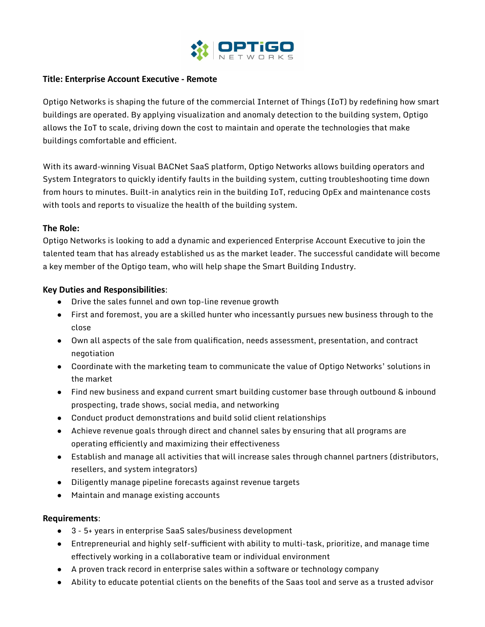

## **Title: Enterprise Account Executive - Remote**

Optigo Networks is shaping the future of the commercial Internet of Things (IoT) by redefining how smart buildings are operated. By applying visualization and anomaly detection to the building system, Optigo allows the IoT to scale, driving down the cost to maintain and operate the technologies that make buildings comfortable and efficient.

With its award-winning Visual BACNet SaaS platform, Optigo Networks allows building operators and System Integrators to quickly identify faults in the building system, cutting troubleshooting time down from hours to minutes. Built-in analytics rein in the building IoT, reducing OpEx and maintenance costs with tools and reports to visualize the health of the building system.

## **The Role:**

Optigo Networks is looking to add a dynamic and experienced Enterprise Account Executive to join the talented team that has already established us as the market leader. The successful candidate will become a key member of the Optigo team, who will help shape the Smart Building Industry.

# **Key Duties and Responsibilities**:

- Drive the sales funnel and own top-line revenue growth
- First and foremost, you are a skilled hunter who incessantly pursues new business through to the close
- Own all aspects of the sale from qualification, needs assessment, presentation, and contract negotiation
- Coordinate with the marketing team to communicate the value of Optigo Networks' solutions in the market
- Find new business and expand current smart building customer base through outbound & inbound prospecting, trade shows, social media, and networking
- Conduct product demonstrations and build solid client relationships
- Achieve revenue goals through direct and channel sales by ensuring that all programs are operating efficiently and maximizing their effectiveness
- Establish and manage all activities that will increase sales through channel partners (distributors, resellers, and system integrators)
- Diligently manage pipeline forecasts against revenue targets
- Maintain and manage existing accounts

## **Requirements**:

- 3 5+ years in enterprise SaaS sales/business development
- Entrepreneurial and highly self-sufficient with ability to multi-task, prioritize, and manage time effectively working in a collaborative team or individual environment
- A proven track record in enterprise sales within a software or technology company
- Ability to educate potential clients on the benefits of the Saas tool and serve as a trusted advisor